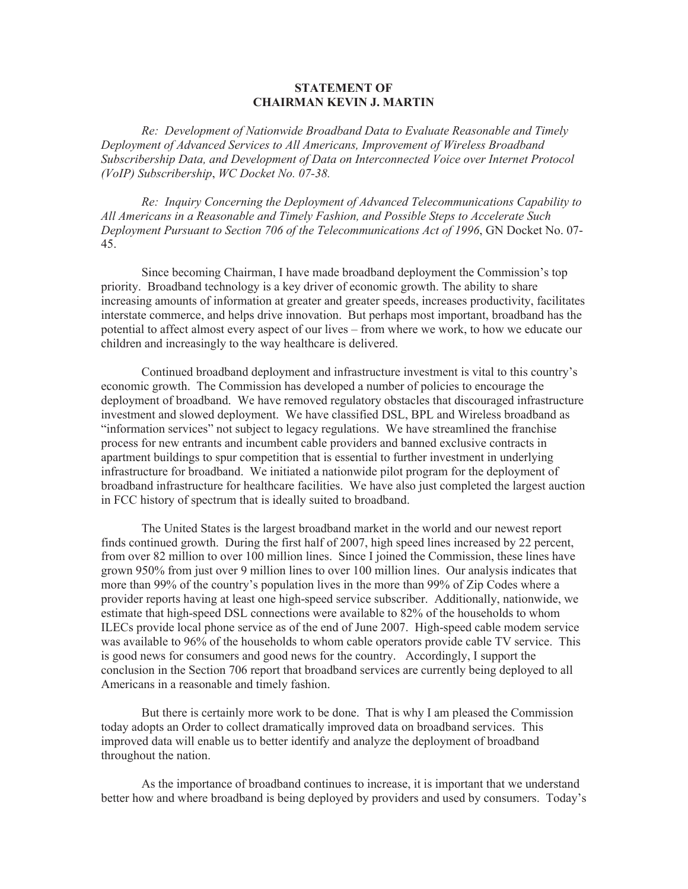## **STATEMENT OF CHAIRMAN KEVIN J. MARTIN**

*Re: Development of Nationwide Broadband Data to Evaluate Reasonable and Timely Deployment of Advanced Services to All Americans, Improvement of Wireless Broadband Subscribership Data, and Development of Data on Interconnected Voice over Internet Protocol (VoIP) Subscribership*, *WC Docket No. 07-38.*

*Re: Inquiry Concerning the Deployment of Advanced Telecommunications Capability to All Americans in a Reasonable and Timely Fashion, and Possible Steps to Accelerate Such Deployment Pursuant to Section 706 of the Telecommunications Act of 1996*, GN Docket No. 07- 45.

Since becoming Chairman, I have made broadband deployment the Commission's top priority. Broadband technology is a key driver of economic growth. The ability to share increasing amounts of information at greater and greater speeds, increases productivity, facilitates interstate commerce, and helps drive innovation. But perhaps most important, broadband has the potential to affect almost every aspect of our lives – from where we work, to how we educate our children and increasingly to the way healthcare is delivered.

Continued broadband deployment and infrastructure investment is vital to this country's economic growth. The Commission has developed a number of policies to encourage the deployment of broadband. We have removed regulatory obstacles that discouraged infrastructure investment and slowed deployment. We have classified DSL, BPL and Wireless broadband as "information services" not subject to legacy regulations. We have streamlined the franchise process for new entrants and incumbent cable providers and banned exclusive contracts in apartment buildings to spur competition that is essential to further investment in underlying infrastructure for broadband. We initiated a nationwide pilot program for the deployment of broadband infrastructure for healthcare facilities. We have also just completed the largest auction in FCC history of spectrum that is ideally suited to broadband.

The United States is the largest broadband market in the world and our newest report finds continued growth. During the first half of 2007, high speed lines increased by 22 percent, from over 82 million to over 100 million lines. Since I joined the Commission, these lines have grown 950% from just over 9 million lines to over 100 million lines. Our analysis indicates that more than 99% of the country's population lives in the more than 99% of Zip Codes where a provider reports having at least one high-speed service subscriber. Additionally, nationwide, we estimate that high-speed DSL connections were available to 82% of the households to whom ILECs provide local phone service as of the end of June 2007. High-speed cable modem service was available to 96% of the households to whom cable operators provide cable TV service. This is good news for consumers and good news for the country. Accordingly, I support the conclusion in the Section 706 report that broadband services are currently being deployed to all Americans in a reasonable and timely fashion.

But there is certainly more work to be done. That is why I am pleased the Commission today adopts an Order to collect dramatically improved data on broadband services. This improved data will enable us to better identify and analyze the deployment of broadband throughout the nation.

As the importance of broadband continues to increase, it is important that we understand better how and where broadband is being deployed by providers and used by consumers. Today's